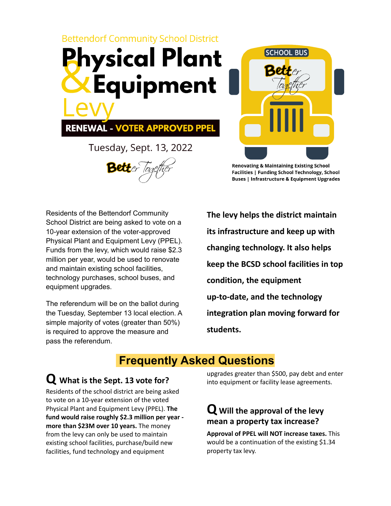



**RENEWAL - VOTER APPROVED PPEL** 

Tuesday, Sept. 13, 2022

**SCHOOL BUS** 

**Renovating & Maintaining Existing School** Facilities | Funding School Technology, School **Buses | Infrastructure & Equipment Upgrades** 

Residents of the Bettendorf Community School District are being asked to vote on a 10-year extension of the voter-approved Physical Plant and Equipment Levy (PPEL). Funds from the levy, which would raise \$2.3 million per year, would be used to renovate and maintain existing school facilities, technology purchases, school buses, and equipment upgrades.

The referendum will be on the ballot during the Tuesday, September 13 local election. A simple majority of votes (greater than 50%) is required to approve the measure and pass the referendum.

**The levy helps the district maintain its infrastructure and keep up with changing technology. It also helps keep the BCSD school facilities in top condition, the equipment up-to-date, and the technology integration plan moving forward for students.**

# **Frequently Asked Questions**

## **Q What is the Sept. <sup>13</sup> vote for?**

Residents of the school district are being asked to vote on a 10-year extension of the voted Physical Plant and Equipment Levy (PPEL). **The fund would raise roughly \$2.3 million per year more than \$23M over 10 years.** The money from the levy can only be used to maintain existing school facilities, purchase/build new facilities, fund technology and equipment

upgrades greater than \$500, pay debt and enter into equipment or facility lease agreements.

### **Q Will the approval of the levy mean a property tax increase?**

**Approval of PPEL will NOT increase taxes.** This would be a continuation of the existing \$1.34 property tax levy.